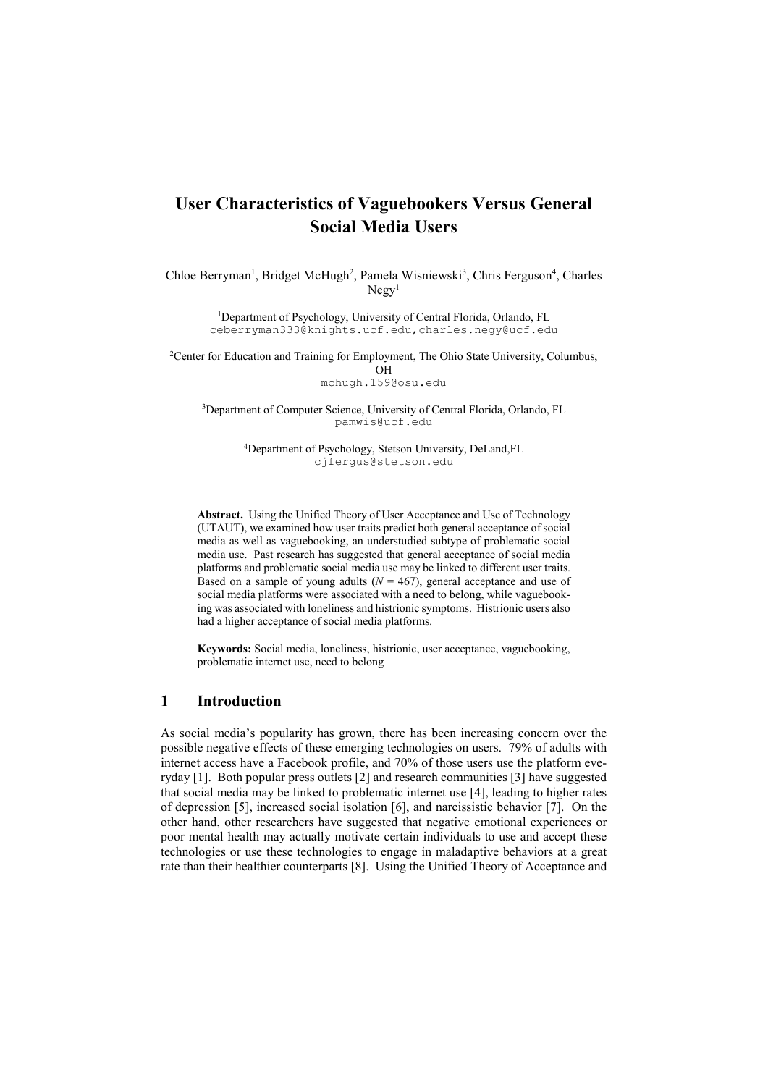# **User Characteristics of Vaguebookers Versus General Social Media Users**

Chloe Berryman<sup>1</sup>, Bridget McHugh<sup>2</sup>, Pamela Wisniewski<sup>3</sup>, Chris Ferguson<sup>4</sup>, Charles  $Ne$ g $v<sup>1</sup>$ 

> <sup>1</sup>Department of Psychology, University of Central Florida, Orlando, FL [ceberryman333@knights.ucf.edu,](mailto:ceberryman333@knights.ucf.edu)charles.negy@ucf.edu

<sup>2</sup>Center for Education and Training for Employment, The Ohio State University, Columbus, OH [mchugh.159@osu.edu](mailto:mchugh.159@osu.edu)

3Department of Computer Science, University of Central Florida, Orlando, FL [pamwis@ucf.edu](mailto:pamela.wsiniewski@ucf.edu)

> 4Department of Psychology, Stetson University, DeLand,FL cjfergus@stetson.edu

**Abstract.** Using the Unified Theory of User Acceptance and Use of Technology (UTAUT), we examined how user traits predict both general acceptance of social media as well as vaguebooking, an understudied subtype of problematic social media use. Past research has suggested that general acceptance of social media platforms and problematic social media use may be linked to different user traits. Based on a sample of young adults  $(N = 467)$ , general acceptance and use of social media platforms were associated with a need to belong, while vaguebooking was associated with loneliness and histrionic symptoms. Histrionic users also had a higher acceptance of social media platforms.

**Keywords:** Social media, loneliness, histrionic, user acceptance, vaguebooking, problematic internet use, need to belong

### **1 Introduction**

As social media's popularity has grown, there has been increasing concern over the possible negative effects of these emerging technologies on users. 79% of adults with internet access have a Facebook profile, and 70% of those users use the platform everyday [1]. Both popular press outlets [2] and research communities [3] have suggested that social media may be linked to problematic internet use [4], leading to higher rates of depression [5], increased social isolation [6], and narcissistic behavior [7]. On the other hand, other researchers have suggested that negative emotional experiences or poor mental health may actually motivate certain individuals to use and accept these technologies or use these technologies to engage in maladaptive behaviors at a great rate than their healthier counterparts [8]. Using the Unified Theory of Acceptance and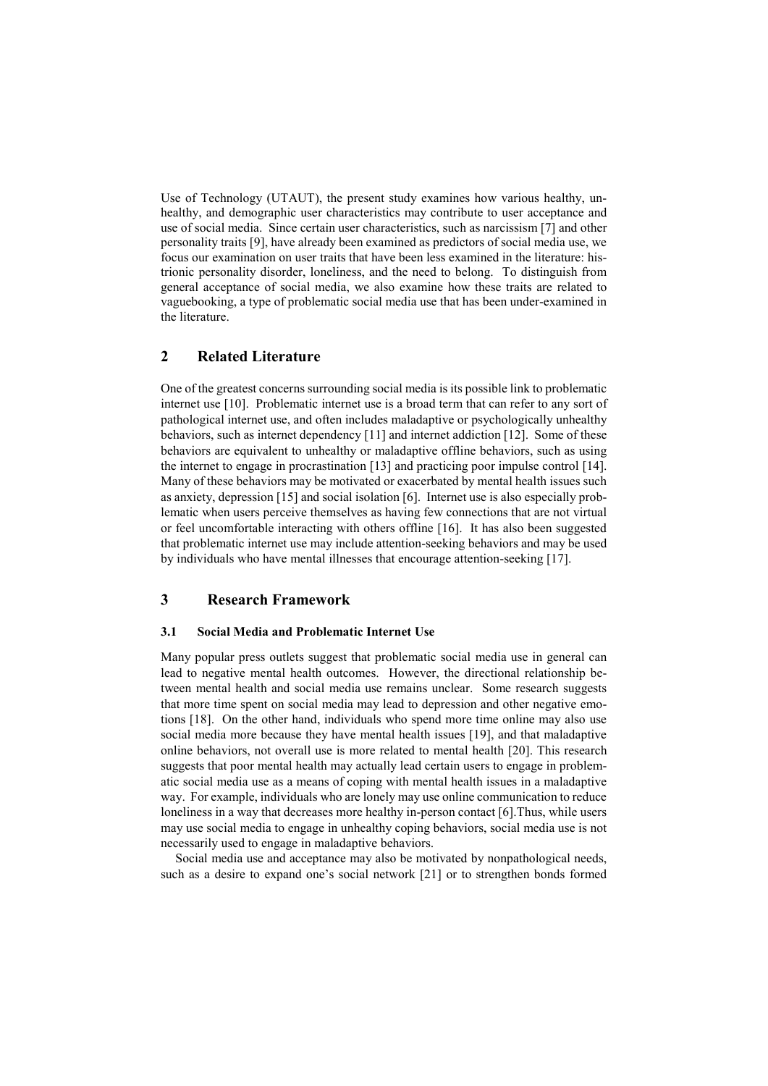Use of Technology (UTAUT), the present study examines how various healthy, unhealthy, and demographic user characteristics may contribute to user acceptance and use of social media. Since certain user characteristics, such as narcissism [7] and other personality traits [9], have already been examined as predictors of social media use, we focus our examination on user traits that have been less examined in the literature: histrionic personality disorder, loneliness, and the need to belong. To distinguish from general acceptance of social media, we also examine how these traits are related to vaguebooking, a type of problematic social media use that has been under-examined in the literature.

# **2 Related Literature**

One of the greatest concerns surrounding social media is its possible link to problematic internet use [10]. Problematic internet use is a broad term that can refer to any sort of pathological internet use, and often includes maladaptive or psychologically unhealthy behaviors, such as internet dependency [11] and internet addiction [12]. Some of these behaviors are equivalent to unhealthy or maladaptive offline behaviors, such as using the internet to engage in procrastination [13] and practicing poor impulse control [14]. Many of these behaviors may be motivated or exacerbated by mental health issues such as anxiety, depression [15] and social isolation [6]. Internet use is also especially problematic when users perceive themselves as having few connections that are not virtual or feel uncomfortable interacting with others offline [16]. It has also been suggested that problematic internet use may include attention-seeking behaviors and may be used by individuals who have mental illnesses that encourage attention-seeking [17].

# **3 Research Framework**

#### **3.1 Social Media and Problematic Internet Use**

Many popular press outlets suggest that problematic social media use in general can lead to negative mental health outcomes. However, the directional relationship between mental health and social media use remains unclear. Some research suggests that more time spent on social media may lead to depression and other negative emotions [18]. On the other hand, individuals who spend more time online may also use social media more because they have mental health issues [19], and that maladaptive online behaviors, not overall use is more related to mental health [20]. This research suggests that poor mental health may actually lead certain users to engage in problematic social media use as a means of coping with mental health issues in a maladaptive way. For example, individuals who are lonely may use online communication to reduce loneliness in a way that decreases more healthy in-person contact [6].Thus, while users may use social media to engage in unhealthy coping behaviors, social media use is not necessarily used to engage in maladaptive behaviors.

Social media use and acceptance may also be motivated by nonpathological needs, such as a desire to expand one's social network [21] or to strengthen bonds formed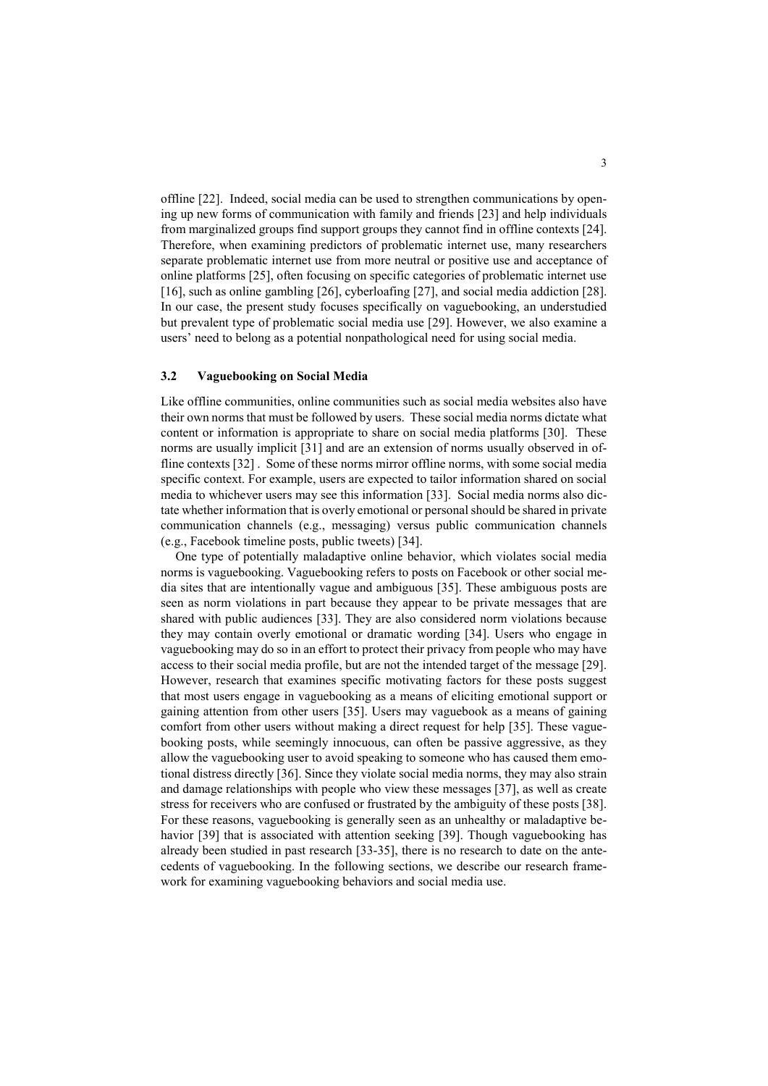offline [22]. Indeed, social media can be used to strengthen communications by opening up new forms of communication with family and friends [23] and help individuals from marginalized groups find support groups they cannot find in offline contexts [24]. Therefore, when examining predictors of problematic internet use, many researchers separate problematic internet use from more neutral or positive use and acceptance of online platforms [25], often focusing on specific categories of problematic internet use [16], such as online gambling [26], cyberloafing [27], and social media addiction [28]. In our case, the present study focuses specifically on vaguebooking, an understudied but prevalent type of problematic social media use [29]. However, we also examine a users' need to belong as a potential nonpathological need for using social media.

#### **3.2 Vaguebooking on Social Media**

Like offline communities, online communities such as social media websites also have their own norms that must be followed by users. These social media norms dictate what content or information is appropriate to share on social media platforms [30]. These norms are usually implicit [31] and are an extension of norms usually observed in offline contexts [32] . Some of these norms mirror offline norms, with some social media specific context. For example, users are expected to tailor information shared on social media to whichever users may see this information [33]. Social media norms also dictate whether information that is overly emotional or personal should be shared in private communication channels (e.g., messaging) versus public communication channels (e.g., Facebook timeline posts, public tweets) [34].

One type of potentially maladaptive online behavior, which violates social media norms is vaguebooking. Vaguebooking refers to posts on Facebook or other social media sites that are intentionally vague and ambiguous [35]. These ambiguous posts are seen as norm violations in part because they appear to be private messages that are shared with public audiences [33]. They are also considered norm violations because they may contain overly emotional or dramatic wording [34]. Users who engage in vaguebooking may do so in an effort to protect their privacy from people who may have access to their social media profile, but are not the intended target of the message [29]. However, research that examines specific motivating factors for these posts suggest that most users engage in vaguebooking as a means of eliciting emotional support or gaining attention from other users [35]. Users may vaguebook as a means of gaining comfort from other users without making a direct request for help [35]. These vaguebooking posts, while seemingly innocuous, can often be passive aggressive, as they allow the vaguebooking user to avoid speaking to someone who has caused them emotional distress directly [36]. Since they violate social media norms, they may also strain and damage relationships with people who view these messages [37], as well as create stress for receivers who are confused or frustrated by the ambiguity of these posts [38]. For these reasons, vaguebooking is generally seen as an unhealthy or maladaptive behavior [39] that is associated with attention seeking [39]. Though vaguebooking has already been studied in past research [33-35], there is no research to date on the antecedents of vaguebooking. In the following sections, we describe our research framework for examining vaguebooking behaviors and social media use.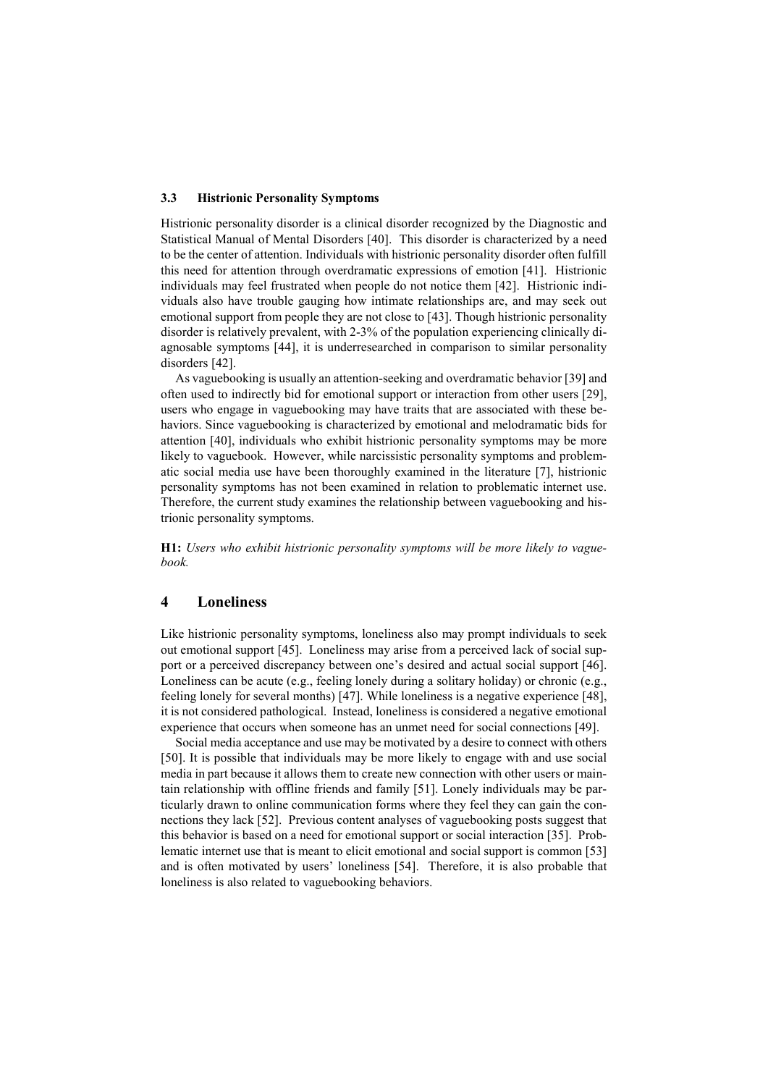#### **3.3 Histrionic Personality Symptoms**

Histrionic personality disorder is a clinical disorder recognized by the Diagnostic and Statistical Manual of Mental Disorders [40]. This disorder is characterized by a need to be the center of attention. Individuals with histrionic personality disorder often fulfill this need for attention through overdramatic expressions of emotion [41]. Histrionic individuals may feel frustrated when people do not notice them [42]. Histrionic individuals also have trouble gauging how intimate relationships are, and may seek out emotional support from people they are not close to [43]. Though histrionic personality disorder is relatively prevalent, with 2-3% of the population experiencing clinically diagnosable symptoms [44], it is underresearched in comparison to similar personality disorders [42].

As vaguebooking is usually an attention-seeking and overdramatic behavior [39] and often used to indirectly bid for emotional support or interaction from other users [29], users who engage in vaguebooking may have traits that are associated with these behaviors. Since vaguebooking is characterized by emotional and melodramatic bids for attention [40], individuals who exhibit histrionic personality symptoms may be more likely to vaguebook. However, while narcissistic personality symptoms and problematic social media use have been thoroughly examined in the literature [7], histrionic personality symptoms has not been examined in relation to problematic internet use. Therefore, the current study examines the relationship between vaguebooking and histrionic personality symptoms.

**H1:** *Users who exhibit histrionic personality symptoms will be more likely to vaguebook.*

# **4 Loneliness**

Like histrionic personality symptoms, loneliness also may prompt individuals to seek out emotional support [45]. Loneliness may arise from a perceived lack of social support or a perceived discrepancy between one's desired and actual social support [46]. Loneliness can be acute (e.g., feeling lonely during a solitary holiday) or chronic (e.g., feeling lonely for several months) [47]. While loneliness is a negative experience [48], it is not considered pathological. Instead, loneliness is considered a negative emotional experience that occurs when someone has an unmet need for social connections [49].

Social media acceptance and use may be motivated by a desire to connect with others [50]. It is possible that individuals may be more likely to engage with and use social media in part because it allows them to create new connection with other users or maintain relationship with offline friends and family [51]. Lonely individuals may be particularly drawn to online communication forms where they feel they can gain the connections they lack [52]. Previous content analyses of vaguebooking posts suggest that this behavior is based on a need for emotional support or social interaction [35]. Problematic internet use that is meant to elicit emotional and social support is common [53] and is often motivated by users' loneliness [54]. Therefore, it is also probable that loneliness is also related to vaguebooking behaviors.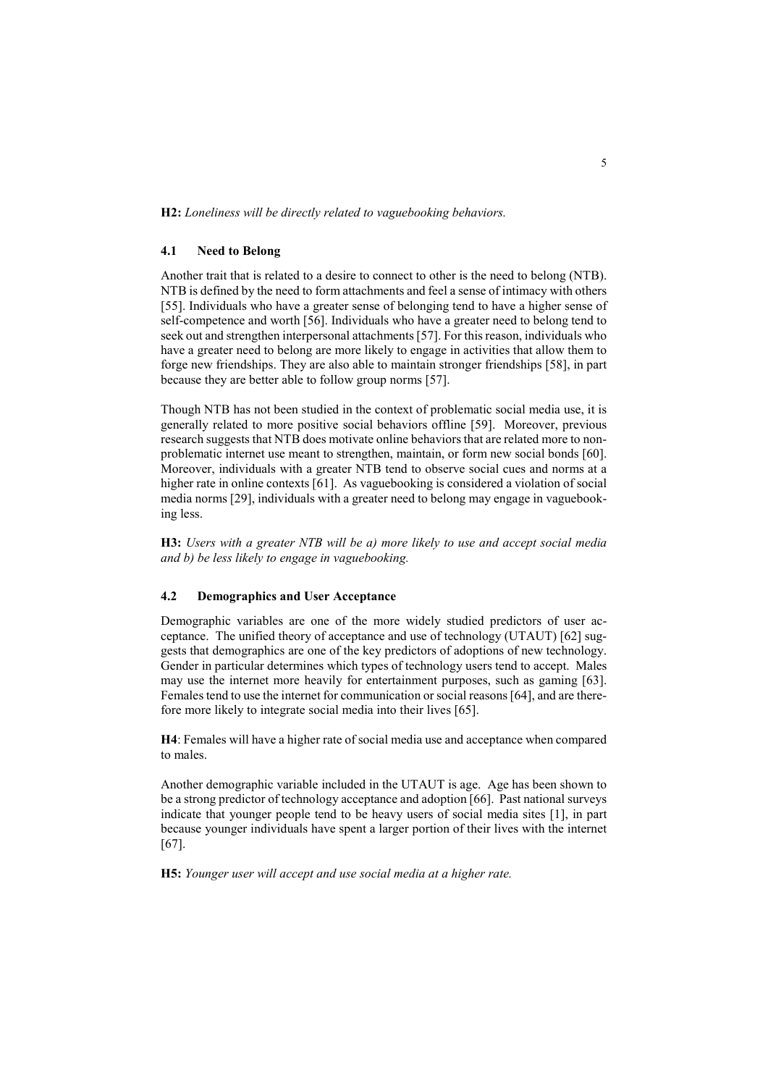**H2:** *Loneliness will be directly related to vaguebooking behaviors.*

### **4.1 Need to Belong**

Another trait that is related to a desire to connect to other is the need to belong (NTB). NTB is defined by the need to form attachments and feel a sense of intimacy with others [55]. Individuals who have a greater sense of belonging tend to have a higher sense of self-competence and worth [56]. Individuals who have a greater need to belong tend to seek out and strengthen interpersonal attachments [57]. For this reason, individuals who have a greater need to belong are more likely to engage in activities that allow them to forge new friendships. They are also able to maintain stronger friendships [58], in part because they are better able to follow group norms [57].

Though NTB has not been studied in the context of problematic social media use, it is generally related to more positive social behaviors offline [59]. Moreover, previous research suggests that NTB does motivate online behaviors that are related more to nonproblematic internet use meant to strengthen, maintain, or form new social bonds [60]. Moreover, individuals with a greater NTB tend to observe social cues and norms at a higher rate in online contexts [61]. As vaguebooking is considered a violation of social media norms [29], individuals with a greater need to belong may engage in vaguebooking less.

**H3:** *Users with a greater NTB will be a) more likely to use and accept social media and b) be less likely to engage in vaguebooking.*

### **4.2 Demographics and User Acceptance**

Demographic variables are one of the more widely studied predictors of user acceptance. The unified theory of acceptance and use of technology (UTAUT) [62] suggests that demographics are one of the key predictors of adoptions of new technology. Gender in particular determines which types of technology users tend to accept. Males may use the internet more heavily for entertainment purposes, such as gaming [63]. Females tend to use the internet for communication or social reasons [64], and are therefore more likely to integrate social media into their lives [65].

**H4**: Females will have a higher rate of social media use and acceptance when compared to males.

Another demographic variable included in the UTAUT is age. Age has been shown to be a strong predictor of technology acceptance and adoption [66]. Past national surveys indicate that younger people tend to be heavy users of social media sites [1], in part because younger individuals have spent a larger portion of their lives with the internet [67].

**H5:** *Younger user will accept and use social media at a higher rate.*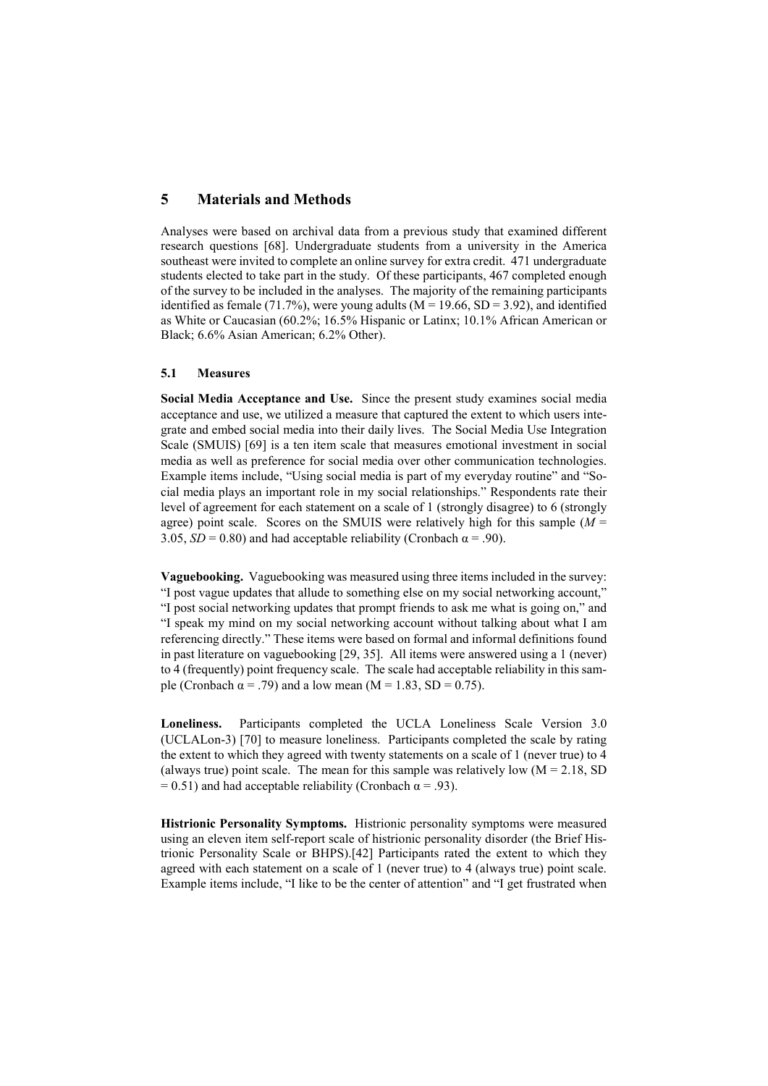### **5 Materials and Methods**

Analyses were based on archival data from a previous study that examined different research questions [68]. Undergraduate students from a university in the America southeast were invited to complete an online survey for extra credit. 471 undergraduate students elected to take part in the study. Of these participants, 467 completed enough of the survey to be included in the analyses. The majority of the remaining participants identified as female (71.7%), were young adults ( $M = 19.66$ ,  $SD = 3.92$ ), and identified as White or Caucasian (60.2%; 16.5% Hispanic or Latinx; 10.1% African American or Black; 6.6% Asian American; 6.2% Other).

### **5.1 Measures**

**Social Media Acceptance and Use.** Since the present study examines social media acceptance and use, we utilized a measure that captured the extent to which users integrate and embed social media into their daily lives. The Social Media Use Integration Scale (SMUIS) [69] is a ten item scale that measures emotional investment in social media as well as preference for social media over other communication technologies. Example items include, "Using social media is part of my everyday routine" and "Social media plays an important role in my social relationships." Respondents rate their level of agreement for each statement on a scale of 1 (strongly disagree) to 6 (strongly agree) point scale. Scores on the SMUIS were relatively high for this sample (*M* = 3.05,  $SD = 0.80$ ) and had acceptable reliability (Cronbach  $\alpha = .90$ ).

**Vaguebooking.** Vaguebooking was measured using three items included in the survey: "I post vague updates that allude to something else on my social networking account," "I post social networking updates that prompt friends to ask me what is going on," and "I speak my mind on my social networking account without talking about what I am referencing directly." These items were based on formal and informal definitions found in past literature on vaguebooking [29, 35]. All items were answered using a 1 (never) to 4 (frequently) point frequency scale. The scale had acceptable reliability in this sample (Cronbach  $\alpha$  = .79) and a low mean (M = 1.83, SD = 0.75).

**Loneliness.** Participants completed the UCLA Loneliness Scale Version 3.0 (UCLALon-3) [70] to measure loneliness. Participants completed the scale by rating the extent to which they agreed with twenty statements on a scale of 1 (never true) to 4 (always true) point scale. The mean for this sample was relatively low  $(M = 2.18, SD)$ = 0.51) and had acceptable reliability (Cronbach  $\alpha$  = .93).

**Histrionic Personality Symptoms.** Histrionic personality symptoms were measured using an eleven item self-report scale of histrionic personality disorder (the Brief Histrionic Personality Scale or BHPS).[42] Participants rated the extent to which they agreed with each statement on a scale of 1 (never true) to 4 (always true) point scale. Example items include, "I like to be the center of attention" and "I get frustrated when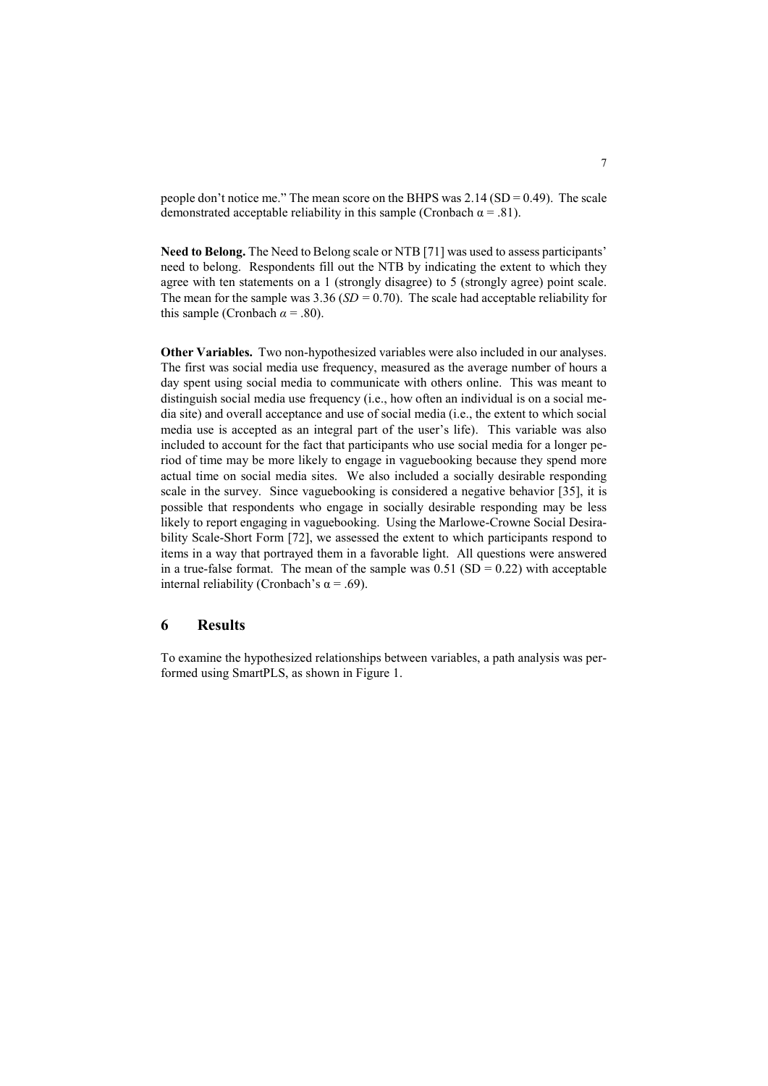people don't notice me." The mean score on the BHPS was  $2.14$  (SD = 0.49). The scale demonstrated acceptable reliability in this sample (Cronbach  $\alpha = .81$ ).

**Need to Belong.** The Need to Belong scale or NTB [71] was used to assess participants' need to belong.Respondents fill out the NTB by indicating the extent to which they agree with ten statements on a 1 (strongly disagree) to 5 (strongly agree) point scale. The mean for the sample was 3.36 (*SD =* 0.70). The scale had acceptable reliability for this sample (Cronbach  $\alpha$  = .80).

**Other Variables.** Two non-hypothesized variables were also included in our analyses. The first was social media use frequency, measured as the average number of hours a day spent using social media to communicate with others online. This was meant to distinguish social media use frequency (i.e., how often an individual is on a social media site) and overall acceptance and use of social media (i.e., the extent to which social media use is accepted as an integral part of the user's life). This variable was also included to account for the fact that participants who use social media for a longer period of time may be more likely to engage in vaguebooking because they spend more actual time on social media sites. We also included a socially desirable responding scale in the survey. Since vaguebooking is considered a negative behavior [35], it is possible that respondents who engage in socially desirable responding may be less likely to report engaging in vaguebooking. Using the Marlowe-Crowne Social Desirability Scale-Short Form [72], we assessed the extent to which participants respond to items in a way that portrayed them in a favorable light. All questions were answered in a true-false format. The mean of the sample was  $0.51$  (SD = 0.22) with acceptable internal reliability (Cronbach's  $\alpha$  = .69).

### **6 Results**

To examine the hypothesized relationships between variables, a path analysis was performed using SmartPLS, as shown in Figure 1.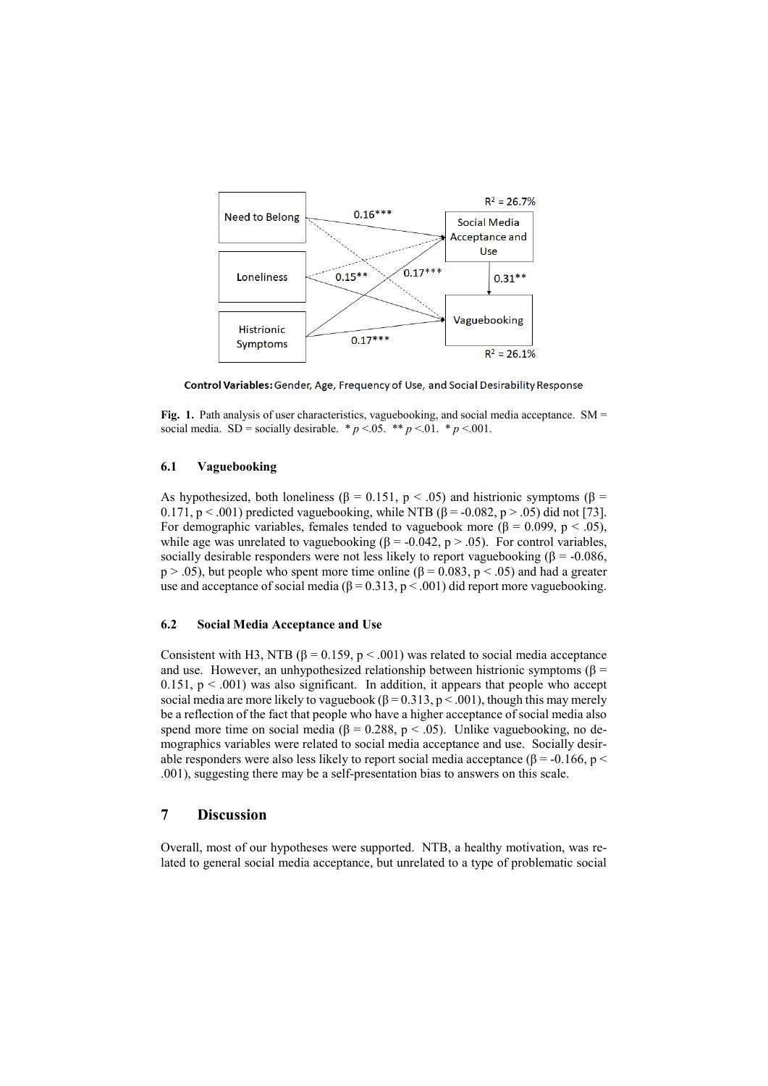

Control Variables: Gender, Age, Frequency of Use, and Social Desirability Response

Fig. 1. Path analysis of user characteristics, vaguebooking, and social media acceptance. SM = social media. SD = socially desirable.  $* p < 0.05$ .  $** p < 0.01$ .  $* p < 0.001$ .

#### **6.1 Vaguebooking**

As hypothesized, both loneliness ( $\beta$  = 0.151, p < .05) and histrionic symptoms ( $\beta$  = 0.171,  $p < .001$ ) predicted vaguebooking, while NTB ( $\beta$  = -0.082,  $p > .05$ ) did not [73]. For demographic variables, females tended to vaguebook more ( $\beta = 0.099$ ,  $p < .05$ ), while age was unrelated to vaguebooking (β = -0.042, p > .05). For control variables, socially desirable responders were not less likely to report vaguebooking ( $\beta$  = -0.086,  $p > .05$ ), but people who spent more time online ( $\beta = 0.083$ ,  $p < .05$ ) and had a greater use and acceptance of social media ( $\beta = 0.313$ ,  $p < .001$ ) did report more vaguebooking.

#### **6.2 Social Media Acceptance and Use**

Consistent with H3, NTB ( $\beta$  = 0.159, p < .001) was related to social media acceptance and use. However, an unhypothesized relationship between histrionic symptoms ( $\beta$  =  $0.151$ ,  $p < .001$ ) was also significant. In addition, it appears that people who accept social media are more likely to vaguebook ( $\beta$  = 0.313, p < .001), though this may merely be a reflection of the fact that people who have a higher acceptance of social media also spend more time on social media ( $\beta = 0.288$ , p < .05). Unlike vaguebooking, no demographics variables were related to social media acceptance and use. Socially desirable responders were also less likely to report social media acceptance ( $\beta$  = -0.166, p < .001), suggesting there may be a self-presentation bias to answers on this scale.

## **7 Discussion**

Overall, most of our hypotheses were supported. NTB, a healthy motivation, was related to general social media acceptance, but unrelated to a type of problematic social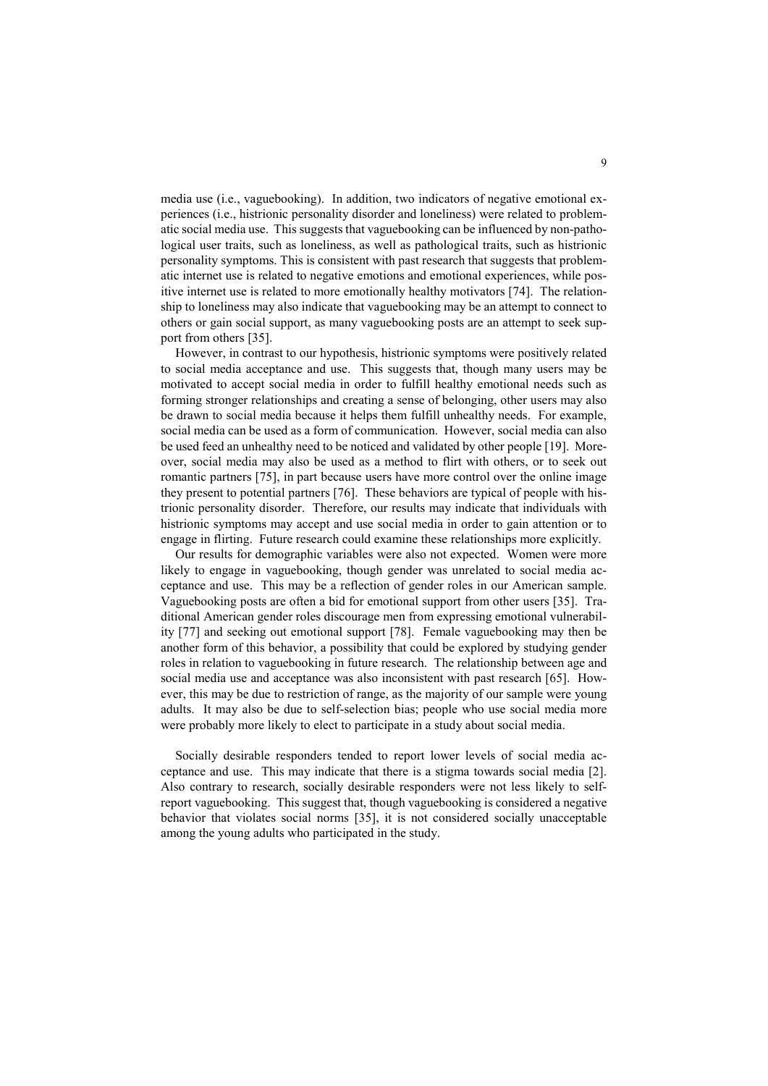media use (i.e., vaguebooking). In addition, two indicators of negative emotional experiences (i.e., histrionic personality disorder and loneliness) were related to problematic social media use. This suggests that vaguebooking can be influenced by non-pathological user traits, such as loneliness, as well as pathological traits, such as histrionic personality symptoms. This is consistent with past research that suggests that problematic internet use is related to negative emotions and emotional experiences, while positive internet use is related to more emotionally healthy motivators [74]. The relationship to loneliness may also indicate that vaguebooking may be an attempt to connect to others or gain social support, as many vaguebooking posts are an attempt to seek support from others [35].

However, in contrast to our hypothesis, histrionic symptoms were positively related to social media acceptance and use. This suggests that, though many users may be motivated to accept social media in order to fulfill healthy emotional needs such as forming stronger relationships and creating a sense of belonging, other users may also be drawn to social media because it helps them fulfill unhealthy needs. For example, social media can be used as a form of communication. However, social media can also be used feed an unhealthy need to be noticed and validated by other people [19]. Moreover, social media may also be used as a method to flirt with others, or to seek out romantic partners [75], in part because users have more control over the online image they present to potential partners [76]. These behaviors are typical of people with histrionic personality disorder. Therefore, our results may indicate that individuals with histrionic symptoms may accept and use social media in order to gain attention or to engage in flirting. Future research could examine these relationships more explicitly.

Our results for demographic variables were also not expected. Women were more likely to engage in vaguebooking, though gender was unrelated to social media acceptance and use. This may be a reflection of gender roles in our American sample. Vaguebooking posts are often a bid for emotional support from other users [35]. Traditional American gender roles discourage men from expressing emotional vulnerability [77] and seeking out emotional support [78]. Female vaguebooking may then be another form of this behavior, a possibility that could be explored by studying gender roles in relation to vaguebooking in future research. The relationship between age and social media use and acceptance was also inconsistent with past research [65]. However, this may be due to restriction of range, as the majority of our sample were young adults. It may also be due to self-selection bias; people who use social media more were probably more likely to elect to participate in a study about social media.

Socially desirable responders tended to report lower levels of social media acceptance and use. This may indicate that there is a stigma towards social media [2]. Also contrary to research, socially desirable responders were not less likely to selfreport vaguebooking. This suggest that, though vaguebooking is considered a negative behavior that violates social norms [35], it is not considered socially unacceptable among the young adults who participated in the study.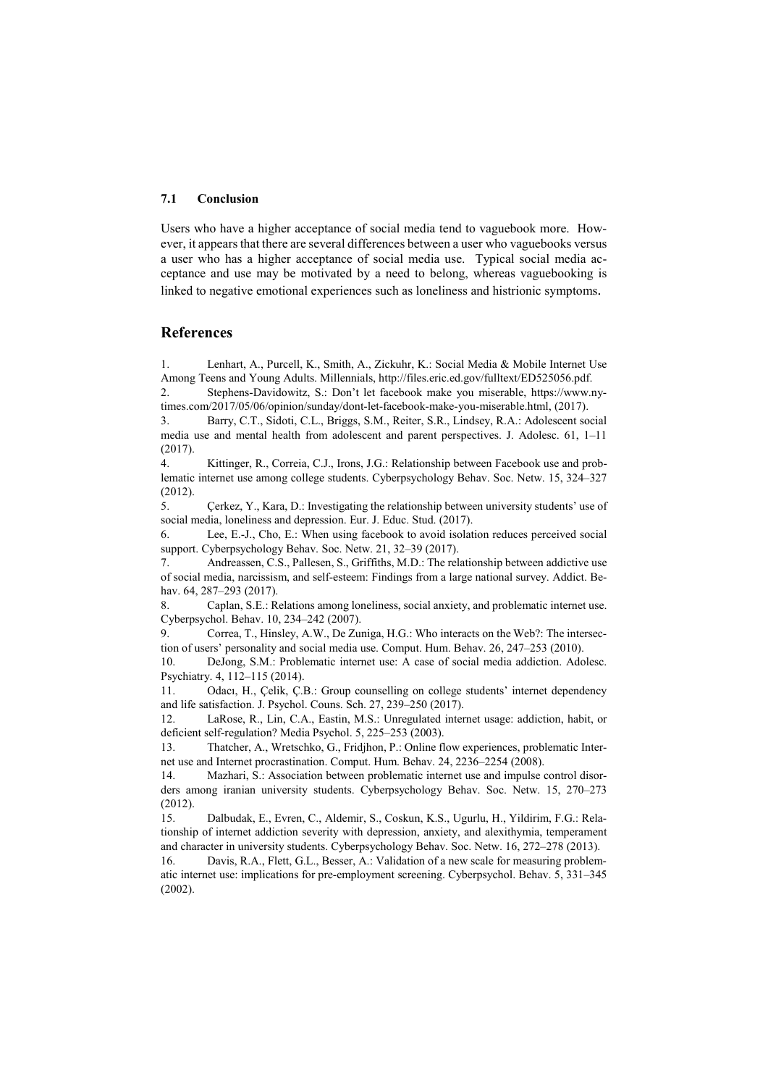### **7.1 Conclusion**

Users who have a higher acceptance of social media tend to vaguebook more. However, it appears that there are several differences between a user who vaguebooks versus a user who has a higher acceptance of social media use. Typical social media acceptance and use may be motivated by a need to belong, whereas vaguebooking is linked to negative emotional experiences such as loneliness and histrionic symptoms.

### **References**

1. Lenhart, A., Purcell, K., Smith, A., Zickuhr, K.: Social Media & Mobile Internet Use Among Teens and Young Adults. Millennials, http://files.eric.ed.gov/fulltext/ED525056.pdf.

2. Stephens-Davidowitz, S.: Don't let facebook make you miserable, https://www.nytimes.com/2017/05/06/opinion/sunday/dont-let-facebook-make-you-miserable.html, (2017).

3. Barry, C.T., Sidoti, C.L., Briggs, S.M., Reiter, S.R., Lindsey, R.A.: Adolescent social media use and mental health from adolescent and parent perspectives. J. Adolesc. 61, 1–11 (2017).

4. Kittinger, R., Correia, C.J., Irons, J.G.: Relationship between Facebook use and problematic internet use among college students. Cyberpsychology Behav. Soc. Netw. 15, 324–327 (2012).

5. Çerkez, Y., Kara, D.: Investigating the relationship between university students' use of social media, loneliness and depression. Eur. J. Educ. Stud. (2017).

6. Lee, E.-J., Cho, E.: When using facebook to avoid isolation reduces perceived social support. Cyberpsychology Behav. Soc. Netw. 21, 32–39 (2017).

7. Andreassen, C.S., Pallesen, S., Griffiths, M.D.: The relationship between addictive use of social media, narcissism, and self-esteem: Findings from a large national survey. Addict. Behav. 64, 287-293 (2017).

8. Caplan, S.E.: Relations among loneliness, social anxiety, and problematic internet use. Cyberpsychol. Behav. 10, 234–242 (2007).

9. Correa, T., Hinsley, A.W., De Zuniga, H.G.: Who interacts on the Web?: The intersection of users' personality and social media use. Comput. Hum. Behav. 26, 247–253 (2010).

10. DeJong, S.M.: Problematic internet use: A case of social media addiction. Adolesc. Psychiatry. 4, 112–115 (2014).

11. Odacı, H., Çelik, Ç.B.: Group counselling on college students' internet dependency and life satisfaction. J. Psychol. Couns. Sch. 27, 239–250 (2017).

12. LaRose, R., Lin, C.A., Eastin, M.S.: Unregulated internet usage: addiction, habit, or deficient self-regulation? Media Psychol. 5, 225–253 (2003).

13. Thatcher, A., Wretschko, G., Fridjhon, P.: Online flow experiences, problematic Internet use and Internet procrastination. Comput. Hum. Behav. 24, 2236–2254 (2008).

14. Mazhari, S.: Association between problematic internet use and impulse control disorders among iranian university students. Cyberpsychology Behav. Soc. Netw. 15, 270–273 (2012).

15. Dalbudak, E., Evren, C., Aldemir, S., Coskun, K.S., Ugurlu, H., Yildirim, F.G.: Relationship of internet addiction severity with depression, anxiety, and alexithymia, temperament and character in university students. Cyberpsychology Behav. Soc. Netw. 16, 272–278 (2013).

16. Davis, R.A., Flett, G.L., Besser, A.: Validation of a new scale for measuring problematic internet use: implications for pre-employment screening. Cyberpsychol. Behav. 5, 331–345 (2002).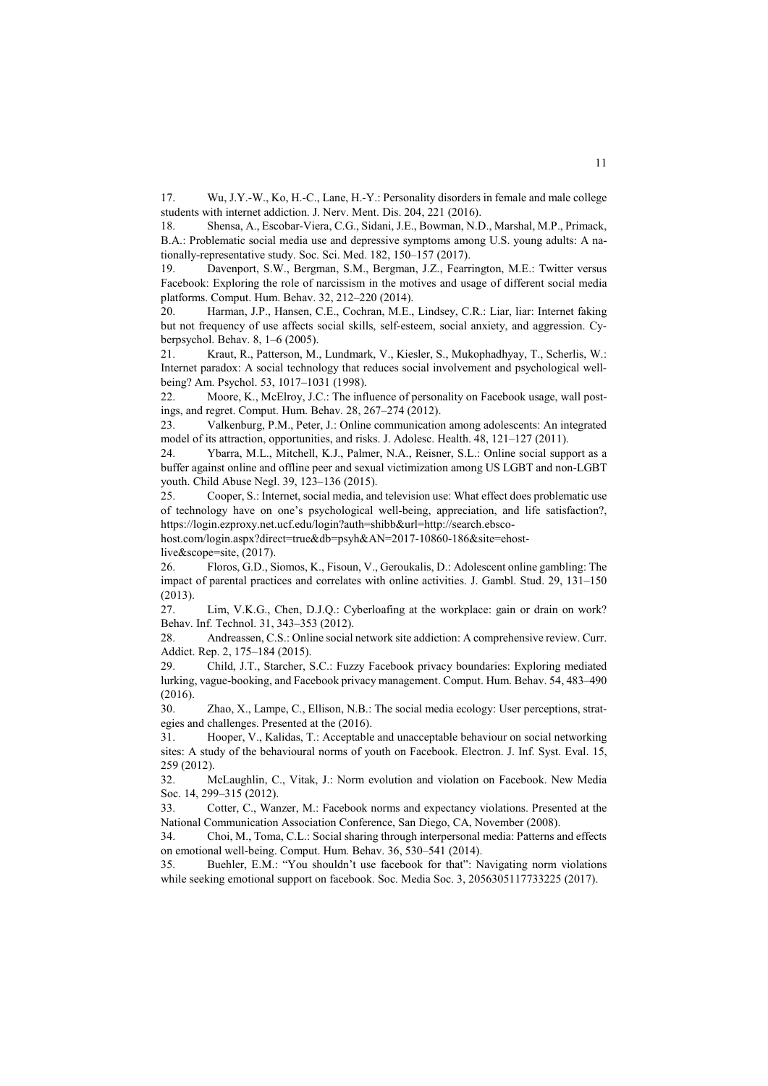17. Wu, J.Y.-W., Ko, H.-C., Lane, H.-Y.: Personality disorders in female and male college students with internet addiction. J. Nerv. Ment. Dis. 204, 221 (2016).

18. Shensa, A., Escobar-Viera, C.G., Sidani, J.E., Bowman, N.D., Marshal, M.P., Primack, B.A.: Problematic social media use and depressive symptoms among U.S. young adults: A nationally-representative study. Soc. Sci. Med. 182, 150–157 (2017).

19. Davenport, S.W., Bergman, S.M., Bergman, J.Z., Fearrington, M.E.: Twitter versus Facebook: Exploring the role of narcissism in the motives and usage of different social media platforms. Comput. Hum. Behav. 32, 212–220 (2014).

20. Harman, J.P., Hansen, C.E., Cochran, M.E., Lindsey, C.R.: Liar, liar: Internet faking but not frequency of use affects social skills, self-esteem, social anxiety, and aggression. Cyberpsychol. Behav. 8, 1–6 (2005).

21. Kraut, R., Patterson, M., Lundmark, V., Kiesler, S., Mukophadhyay, T., Scherlis, W.: Internet paradox: A social technology that reduces social involvement and psychological wellbeing? Am. Psychol. 53, 1017–1031 (1998).

22. Moore, K., McElroy, J.C.: The influence of personality on Facebook usage, wall postings, and regret. Comput. Hum. Behav. 28, 267–274 (2012).

23. Valkenburg, P.M., Peter, J.: Online communication among adolescents: An integrated model of its attraction, opportunities, and risks. J. Adolesc. Health. 48, 121–127 (2011).

24. Ybarra, M.L., Mitchell, K.J., Palmer, N.A., Reisner, S.L.: Online social support as a buffer against online and offline peer and sexual victimization among US LGBT and non-LGBT youth. Child Abuse Negl. 39, 123–136 (2015).

25. Cooper, S.: Internet, social media, and television use: What effect does problematic use of technology have on one's psychological well-being, appreciation, and life satisfaction?, https://login.ezproxy.net.ucf.edu/login?auth=shibb&url=http://search.ebsco-

host.com/login.aspx?direct=true&db=psyh&AN=2017-10860-186&site=ehost-

live&scope=site, (2017).

26. Floros, G.D., Siomos, K., Fisoun, V., Geroukalis, D.: Adolescent online gambling: The impact of parental practices and correlates with online activities. J. Gambl. Stud. 29, 131–150 (2013).

27. Lim, V.K.G., Chen, D.J.Q.: Cyberloafing at the workplace: gain or drain on work? Behav. Inf. Technol. 31, 343–353 (2012).

28. Andreassen, C.S.: Online social network site addiction: A comprehensive review. Curr. Addict. Rep. 2, 175–184 (2015).

29. Child, J.T., Starcher, S.C.: Fuzzy Facebook privacy boundaries: Exploring mediated lurking, vague-booking, and Facebook privacy management. Comput. Hum. Behav. 54, 483–490 (2016).

30. Zhao, X., Lampe, C., Ellison, N.B.: The social media ecology: User perceptions, strategies and challenges. Presented at the (2016).

31. Hooper, V., Kalidas, T.: Acceptable and unacceptable behaviour on social networking sites: A study of the behavioural norms of youth on Facebook. Electron. J. Inf. Syst. Eval. 15, 259 (2012).

32. McLaughlin, C., Vitak, J.: Norm evolution and violation on Facebook. New Media Soc. 14, 299–315 (2012).

33. Cotter, C., Wanzer, M.: Facebook norms and expectancy violations. Presented at the National Communication Association Conference, San Diego, CA, November (2008).

34. Choi, M., Toma, C.L.: Social sharing through interpersonal media: Patterns and effects on emotional well-being. Comput. Hum. Behav. 36, 530–541 (2014).

35. Buehler, E.M.: "You shouldn't use facebook for that": Navigating norm violations while seeking emotional support on facebook. Soc. Media Soc. 3, 2056305117733225 (2017).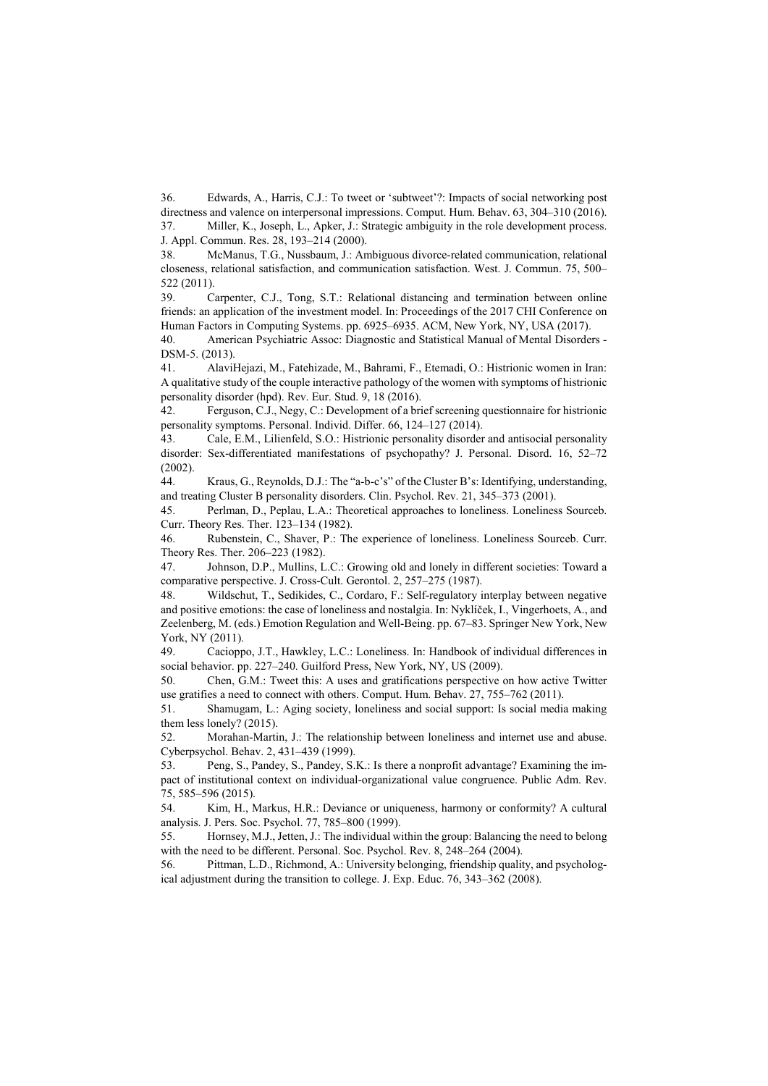36. Edwards, A., Harris, C.J.: To tweet or 'subtweet'?: Impacts of social networking post directness and valence on interpersonal impressions. Comput. Hum. Behav. 63, 304–310 (2016). 37. Miller, K., Joseph, L., Apker, J.: Strategic ambiguity in the role development process.

J. Appl. Commun. Res. 28, 193–214 (2000).

38. McManus, T.G., Nussbaum, J.: Ambiguous divorce-related communication, relational closeness, relational satisfaction, and communication satisfaction. West. J. Commun. 75, 500– 522 (2011).

39. Carpenter, C.J., Tong, S.T.: Relational distancing and termination between online friends: an application of the investment model. In: Proceedings of the 2017 CHI Conference on Human Factors in Computing Systems. pp. 6925–6935. ACM, New York, NY, USA (2017).

40. American Psychiatric Assoc: Diagnostic and Statistical Manual of Mental Disorders - DSM-5. (2013).

41. AlaviHejazi, M., Fatehizade, M., Bahrami, F., Etemadi, O.: Histrionic women in Iran: A qualitative study of the couple interactive pathology of the women with symptoms of histrionic personality disorder (hpd). Rev. Eur. Stud. 9, 18 (2016).

42. Ferguson, C.J., Negy, C.: Development of a brief screening questionnaire for histrionic personality symptoms. Personal. Individ. Differ. 66, 124–127 (2014).

43. Cale, E.M., Lilienfeld, S.O.: Histrionic personality disorder and antisocial personality disorder: Sex-differentiated manifestations of psychopathy? J. Personal. Disord. 16, 52–72 (2002).

44. Kraus, G., Reynolds, D.J.: The "a-b-c's" of the Cluster B's: Identifying, understanding, and treating Cluster B personality disorders. Clin. Psychol. Rev. 21, 345–373 (2001).

45. Perlman, D., Peplau, L.A.: Theoretical approaches to loneliness. Loneliness Sourceb. Curr. Theory Res. Ther. 123–134 (1982).

46. Rubenstein, C., Shaver, P.: The experience of loneliness. Loneliness Sourceb. Curr. Theory Res. Ther. 206–223 (1982).

47. Johnson, D.P., Mullins, L.C.: Growing old and lonely in different societies: Toward a comparative perspective. J. Cross-Cult. Gerontol. 2, 257–275 (1987).

48. Wildschut, T., Sedikides, C., Cordaro, F.: Self-regulatory interplay between negative and positive emotions: the case of loneliness and nostalgia. In: Nyklíček, I., Vingerhoets, A., and Zeelenberg, M. (eds.) Emotion Regulation and Well-Being. pp. 67–83. Springer New York, New York, NY (2011).

49. Cacioppo, J.T., Hawkley, L.C.: Loneliness. In: Handbook of individual differences in social behavior. pp. 227–240. Guilford Press, New York, NY, US (2009).

50. Chen, G.M.: Tweet this: A uses and gratifications perspective on how active Twitter use gratifies a need to connect with others. Comput. Hum. Behav. 27, 755–762 (2011).

51. Shamugam, L.: Aging society, loneliness and social support: Is social media making them less lonely? (2015).

52. Morahan-Martin, J.: The relationship between loneliness and internet use and abuse. Cyberpsychol. Behav. 2, 431–439 (1999).

53. Peng, S., Pandey, S., Pandey, S.K.: Is there a nonprofit advantage? Examining the impact of institutional context on individual-organizational value congruence. Public Adm. Rev. 75, 585–596 (2015).

54. Kim, H., Markus, H.R.: Deviance or uniqueness, harmony or conformity? A cultural analysis. J. Pers. Soc. Psychol. 77, 785–800 (1999).

55. Hornsey, M.J., Jetten, J.: The individual within the group: Balancing the need to belong with the need to be different. Personal. Soc. Psychol. Rev. 8, 248–264 (2004).

56. Pittman, L.D., Richmond, A.: University belonging, friendship quality, and psychological adjustment during the transition to college. J. Exp. Educ. 76, 343–362 (2008).